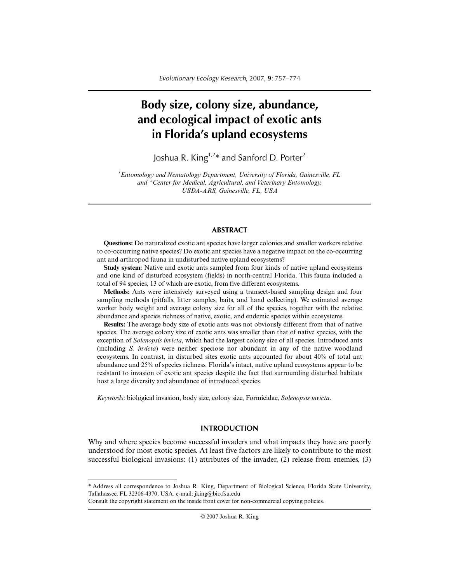# **Body size, colony size, abundance, and ecological impact of exotic ants in Florida's upland ecosystems**

Joshua R. King<sup>1,2\*</sup> and Sanford D. Porter<sup>2</sup>

*1 Entomology and Nematology Department, University of Florida, Gainesville, FL and <sup>2</sup> Center for Medical, Agricultural, and Veterinary Entomology, USDA-ARS, Gainesville, FL, USA*

## **ABSTRACT**

**Questions:** Do naturalized exotic ant species have larger colonies and smaller workers relative to co-occurring native species? Do exotic ant species have a negative impact on the co-occurring ant and arthropod fauna in undisturbed native upland ecosystems?

**Study system:** Native and exotic ants sampled from four kinds of native upland ecosystems and one kind of disturbed ecosystem (fields) in north-central Florida. This fauna included a total of 94 species, 13 of which are exotic, from five different ecosystems.

**Methods:** Ants were intensively surveyed using a transect-based sampling design and four sampling methods (pitfalls, litter samples, baits, and hand collecting). We estimated average worker body weight and average colony size for all of the species, together with the relative abundance and species richness of native, exotic, and endemic species within ecosystems.

**Results:** The average body size of exotic ants was not obviously different from that of native species. The average colony size of exotic ants was smaller than that of native species, with the exception of *Solenopsis invicta*, which had the largest colony size of all species. Introduced ants (including *S. invicta*) were neither speciose nor abundant in any of the native woodland ecosystems. In contrast, in disturbed sites exotic ants accounted for about 40% of total ant abundance and 25% of species richness. Florida's intact, native upland ecosystems appear to be resistant to invasion of exotic ant species despite the fact that surrounding disturbed habitats host a large diversity and abundance of introduced species.

*Keywords*: biological invasion, body size, colony size, Formicidae, *Solenopsis invicta*.

# **INTRODUCTION**

Why and where species become successful invaders and what impacts they have are poorly understood for most exotic species. At least five factors are likely to contribute to the most successful biological invasions: (1) attributes of the invader, (2) release from enemies, (3)

© 2007 Joshua R. King

<sup>\*</sup> Address all correspondence to Joshua R. King, Department of Biological Science, Florida State University, Tallahassee, FL 32306-4370, USA. e-mail: jking@bio.fsu.edu

Consult the copyright statement on the inside front cover for non-commercial copying policies.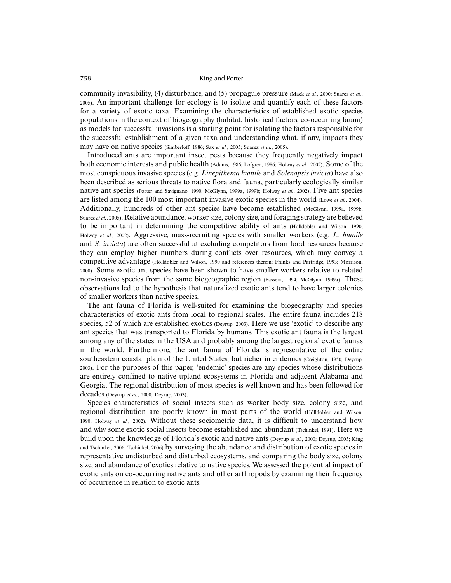community invasibility, (4) disturbance, and (5) propagule pressure (Mack *et al.*, 2000; Suarez *et al.*, 2005). An important challenge for ecology is to isolate and quantify each of these factors for a variety of exotic taxa. Examining the characteristics of established exotic species populations in the context of biogeography (habitat, historical factors, co-occurring fauna) as models for successful invasions is a starting point for isolating the factors responsible for the successful establishment of a given taxa and understanding what, if any, impacts they may have on native species (Simberloff, 1986; Sax *et al.*, 2005; Suarez *et al.*, 2005).

Introduced ants are important insect pests because they frequently negatively impact both economic interests and public health (Adams, 1986; Lofgren, 1986; Holway *et al.*, 2002). Some of the most conspicuous invasive species (e.g. *Linepithema humile* and *Solenopsis invicta*) have also been described as serious threats to native flora and fauna, particularly ecologically similar native ant species (Porter and Savignano, 1990; McGlynn, 1999a, 1999b; Holway *et al.*, 2002). Five ant species are listed among the 100 most important invasive exotic species in the world (Lowe *et al.*, 2004). Additionally, hundreds of other ant species have become established (McGlynn, 1999a, 1999b; Suarez *et al.*, 2005). Relative abundance, worker size, colony size, and foraging strategy are believed to be important in determining the competitive ability of ants (Hölldobler and Wilson, 1990; Holway *et al.*, 2002). Aggressive, mass-recruiting species with smaller workers (e.g. *L. humile* and *S. invicta*) are often successful at excluding competitors from food resources because they can employ higher numbers during conflicts over resources, which may convey a competitive advantage (Hölldobler and Wilson, 1990 and references therein; Franks and Partridge, 1993; Morrison, 2000). Some exotic ant species have been shown to have smaller workers relative to related non-invasive species from the same biogeographic region (Passera, 1994; McGlynn, 1999a). These observations led to the hypothesis that naturalized exotic ants tend to have larger colonies of smaller workers than native species.

The ant fauna of Florida is well-suited for examining the biogeography and species characteristics of exotic ants from local to regional scales. The entire fauna includes 218 species, 52 of which are established exotics (Deyrup, 2003). Here we use 'exotic' to describe any ant species that was transported to Florida by humans. This exotic ant fauna is the largest among any of the states in the USA and probably among the largest regional exotic faunas in the world. Furthermore, the ant fauna of Florida is representative of the entire southeastern coastal plain of the United States, but richer in endemics (Creighton, 1950; Deyrup, 2003). For the purposes of this paper, 'endemic' species are any species whose distributions are entirely confined to native upland ecosystems in Florida and adjacent Alabama and Georgia. The regional distribution of most species is well known and has been followed for decades (Deyrup *et al.*, 2000; Deyrup, 2003).

Species characteristics of social insects such as worker body size, colony size, and regional distribution are poorly known in most parts of the world (Hölldobler and Wilson, 1990; Holway *et al.*, 2002). Without these sociometric data, it is difficult to understand how and why some exotic social insects become established and abundant (Tschinkel, 1991). Here we build upon the knowledge of Florida's exotic and native ants (Deyrup *et al.*, 2000; Deyrup, 2003; King and Tschinkel, 2006; Tschinkel, 2006) by surveying the abundance and distribution of exotic species in representative undisturbed and disturbed ecosystems, and comparing the body size, colony size, and abundance of exotics relative to native species. We assessed the potential impact of exotic ants on co-occurring native ants and other arthropods by examining their frequency of occurrence in relation to exotic ants.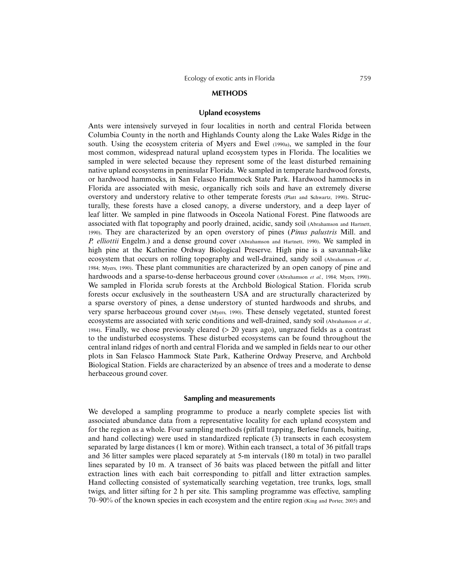#### **METHODS**

## **Upland ecosystems**

Ants were intensively surveyed in four localities in north and central Florida between Columbia County in the north and Highlands County along the Lake Wales Ridge in the south. Using the ecosystem criteria of Myers and Ewel (1990a), we sampled in the four most common, widespread natural upland ecosystem types in Florida. The localities we sampled in were selected because they represent some of the least disturbed remaining native upland ecosystems in peninsular Florida. We sampled in temperate hardwood forests, or hardwood hammocks, in San Felasco Hammock State Park. Hardwood hammocks in Florida are associated with mesic, organically rich soils and have an extremely diverse overstory and understory relative to other temperate forests (Platt and Schwartz, 1990). Structurally, these forests have a closed canopy, a diverse understory, and a deep layer of leaf litter. We sampled in pine flatwoods in Osceola National Forest. Pine flatwoods are associated with flat topography and poorly drained, acidic, sandy soil (Abrahamson and Hartnett, 1990). They are characterized by an open overstory of pines (*Pinus palustris* Mill. and *P. elliottii* Engelm.) and a dense ground cover (Abrahamson and Hartnett, 1990). We sampled in high pine at the Katherine Ordway Biological Preserve. High pine is a savannah-like ecosystem that occurs on rolling topography and well-drained, sandy soil (Abrahamson *et al.*, 1984; Myers, 1990). These plant communities are characterized by an open canopy of pine and hardwoods and a sparse-to-dense herbaceous ground cover (Abrahamson *et al.*, 1984; Myers, 1990). We sampled in Florida scrub forests at the Archbold Biological Station. Florida scrub forests occur exclusively in the southeastern USA and are structurally characterized by a sparse overstory of pines, a dense understory of stunted hardwoods and shrubs, and very sparse herbaceous ground cover (Myers, 1990). These densely vegetated, stunted forest ecosystems are associated with xeric conditions and well-drained, sandy soil (Abrahamson *et al.*, 1984). Finally, we chose previously cleared (> 20 years ago), ungrazed fields as a contrast to the undisturbed ecosystems. These disturbed ecosystems can be found throughout the central inland ridges of north and central Florida and we sampled in fields near to our other plots in San Felasco Hammock State Park, Katherine Ordway Preserve, and Archbold Biological Station. Fields are characterized by an absence of trees and a moderate to dense herbaceous ground cover.

## **Sampling and measurements**

We developed a sampling programme to produce a nearly complete species list with associated abundance data from a representative locality for each upland ecosystem and for the region as a whole. Four sampling methods (pitfall trapping, Berlese funnels, baiting, and hand collecting) were used in standardized replicate (3) transects in each ecosystem separated by large distances (1 km or more). Within each transect, a total of 36 pitfall traps and 36 litter samples were placed separately at 5-m intervals (180 m total) in two parallel lines separated by 10 m. A transect of 36 baits was placed between the pitfall and litter extraction lines with each bait corresponding to pitfall and litter extraction samples. Hand collecting consisted of systematically searching vegetation, tree trunks, logs, small twigs, and litter sifting for 2 h per site. This sampling programme was effective, sampling 70–90% of the known species in each ecosystem and the entire region (King and Porter, 2005) and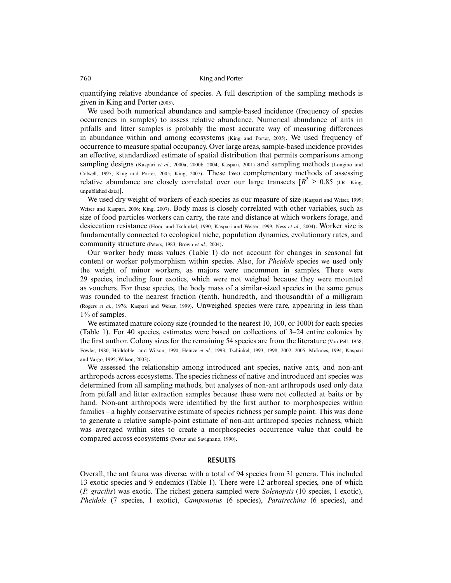quantifying relative abundance of species. A full description of the sampling methods is given in King and Porter (2005).

We used both numerical abundance and sample-based incidence (frequency of species occurrences in samples) to assess relative abundance. Numerical abundance of ants in pitfalls and litter samples is probably the most accurate way of measuring differences in abundance within and among ecosystems (King and Porter, 2005). We used frequency of occurrence to measure spatial occupancy. Over large areas, sample-based incidence provides an effective, standardized estimate of spatial distribution that permits comparisons among sampling designs (Kaspari *et al.*, 2000a, 2000b, 2004; Kaspari, 2001) and sampling methods (Longino and Colwell, 1997; King and Porter, 2005; King, 2007). These two complementary methods of assessing relative abundance are closely correlated over our large transects  $[R^2 \ge 0.85]$  (J.R. King, unpublished data)].

We used dry weight of workers of each species as our measure of size (Kaspari and Weiser, 1999; Weiser and Kaspari, 2006; King, 2007). Body mass is closely correlated with other variables, such as size of food particles workers can carry, the rate and distance at which workers forage, and desiccation resistance (Hood and Tschinkel, 1990; Kaspari and Weiser, 1999; Ness *et al.*, 2004). Worker size is fundamentally connected to ecological niche, population dynamics, evolutionary rates, and community structure (Peters, 1983; Brown *et al.*, 2004).

Our worker body mass values (Table 1) do not account for changes in seasonal fat content or worker polymorphism within species. Also, for *Pheidole* species we used only the weight of minor workers, as majors were uncommon in samples. There were 29 species, including four exotics, which were not weighed because they were mounted as vouchers. For these species, the body mass of a similar-sized species in the same genus was rounded to the nearest fraction (tenth, hundredth, and thousandth) of a milligram (Rogers *et al.*, 1976*;* Kaspari and Weiser, 1999). Unweighed species were rare, appearing in less than 1% of samples.

We estimated mature colony size (rounded to the nearest 10, 100, or 1000) for each species (Table 1). For 40 species, estimates were based on collections of 3–24 entire colonies by the first author. Colony sizes for the remaining 54 species are from the literature (Van Pelt, 1958; Fowler, 1980; Hölldobler and Wilson, 1990; Heinze *et al.*, 1993; Tschinkel, 1993, 1998, 2002, 2005; McInnes, 1994; Kaspari and Vargo, 1995; Wilson, 2003).

We assessed the relationship among introduced ant species, native ants, and non-ant arthropods across ecosystems. The species richness of native and introduced ant species was determined from all sampling methods, but analyses of non-ant arthropods used only data from pitfall and litter extraction samples because these were not collected at baits or by hand. Non-ant arthropods were identified by the first author to morphospecies within families – a highly conservative estimate of species richness per sample point. This was done to generate a relative sample-point estimate of non-ant arthropod species richness, which was averaged within sites to create a morphospecies occurrence value that could be compared across ecosystems (Porter and Savignano, 1990).

#### **RESULTS**

Overall, the ant fauna was diverse, with a total of 94 species from 31 genera. This included 13 exotic species and 9 endemics (Table 1). There were 12 arboreal species, one of which (*P. gracilis*) was exotic. The richest genera sampled were *Solenopsis* (10 species, 1 exotic), *Pheidole* (7 species, 1 exotic), *Camponotus* (6 species), *Paratrechina* (6 species), and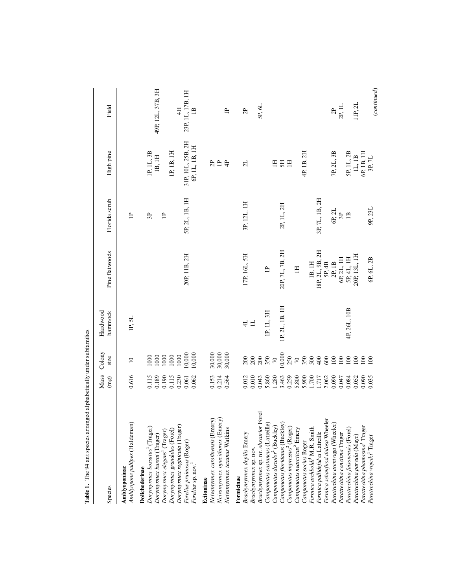| a<br>!                                          |                    |                   |                     |                 |                           |                      |                   |
|-------------------------------------------------|--------------------|-------------------|---------------------|-----------------|---------------------------|----------------------|-------------------|
| Species                                         | Mass<br>(mg)       | Colony<br>size    | Hardwood<br>hammock | Pine flatwoods  | Florida scrub             | High pine            | Field             |
| Amblyopone pallipes (Haldeman)<br>Amblyoponinae | 0.616              | $\approx$         | 1P, 5L              |                 | $\equiv$                  |                      |                   |
| Dolichoderinae                                  |                    |                   |                     |                 |                           |                      |                   |
| Dorymyrmex bossutus <sup>1</sup> (Trager)       | 0.115              | 1000              |                     |                 | 3P                        | 1P, 1L, 3B           |                   |
| Dorymyrmex bureni (Trager)                      | 0.189              | 1000              |                     |                 |                           | 1B, 1H               | 49P, 12L, 37B, 3H |
| Dorymyrmex elegans <sup>1</sup> (Trager)        | 0.190              | 1000              |                     |                 | $\equiv$                  |                      |                   |
| Dorymyrmex grandulus (Forel)                    | 0.115              | 1000              |                     |                 |                           | IP, 1B, 1H           |                   |
| Dorymyrmex reginicula (Trager)                  | 0.230              | 1000              |                     |                 |                           |                      | 4H                |
| Forelius pruinosus (Roger)                      | 0.061              | 10,000            |                     | 20P, 11B, 2H    | 5P, 2L, 1B, 1H            | 31P, 10L, 25B, 2H    | 23P, 1L, 17B, 1H  |
| Forelius sp. nov. <sup>1</sup>                  | 0.062              | 10,000            |                     |                 |                           | 6P, 1L, 1B, 1H       | $\mathbf{B}$      |
| Ecitoninae                                      |                    |                   |                     |                 |                           |                      |                   |
| Neivamyrmex carolinensis (Emery)                | 0.153              |                   |                     |                 |                           | 2P                   |                   |
| Neivamyrmex opacithorax (Emery)                 | 0.214              | 30,000<br>30,000  |                     |                 |                           | $\mathop{\boxplus}$  |                   |
| Neivamyrmex texanus Watkins                     | 0.564              | 30,000            |                     |                 |                           | $\ddot{+}$           | $\overline{a}$    |
| Formicinae                                      |                    |                   |                     |                 |                           |                      |                   |
| Brachymyrmex depilis Emery                      | 0.012              |                   | $\frac{1}{4}$       | 17P, 16L, 5H    | 3P, 12L, 1H               | 2L                   | 2P                |
| Brachymyrmex sp. nov.                           | 0.010              | $\frac{200}{200}$ | $\exists$           |                 |                           |                      |                   |
| Brachymyrmex sp. nr. obscurior Forel            | 0.043              | $200\,$           |                     |                 |                           |                      | 5P, 6L            |
| Camponotus castaneus (Latreille)                | 5.860              | 350               | IP, IL, 3H          | $\equiv$        |                           |                      |                   |
| Camponotus discolor <sup>2</sup> (Buckley)      | 1.280              | $\sqrt{2}$        |                     |                 |                           | H                    |                   |
| Camponotus floridanus (Buckley)                 | 3.463              | 10,000            | 1P, 2L, 1B, 1H      | 20P, 7L, 7B, 2H | 2P, 1L, 2H                | 5H                   |                   |
| Camponotus impressus <sup>2</sup> (Roger)       | 0.259              | 250               |                     |                 |                           | H                    |                   |
| Camponotus nearcticus <sup>2</sup> Emery        | 5.800              | $\sqrt{2}$        |                     | $\mathbb{H}$    |                           |                      |                   |
| Camponotus socius Roger                         |                    |                   |                     |                 |                           | 4P, 1B, 2H           |                   |
| Formica archboldi <sup>1</sup> M.R. Smith       | $1.700$<br>$1.717$ |                   |                     | 1B, 1H          |                           |                      |                   |
| Formica pallidefulva Latreille                  |                    | 5880              |                     | 18P, 2L, 9B, 2H | 3P, 7L, 1B, 2H            |                      |                   |
| Formica schaufussi dolosa Wheeler               | 2.062              |                   |                     | 5P, 4B          |                           |                      |                   |
| Paratrechina arenivaga (Wheeler)                | 0.090              | $100\,$           |                     | 2P, 1B          | 6P, 2L                    | 7P, 2L, 3B           | 2P                |
| Paratrechina concinna Trager                    | 0.047              | $100\,$           |                     | 6P, 2L, 1H      | $\overline{3}P$           |                      | 2P, 1L            |
| Paratrechina faisonensis (Forel)                | 0.084              | 100               | 4P, 26L, 10B        | 5P, 4L, 1H      | $\mathbf{1}^{\mathbf{B}}$ | 5P, 1L, 2B           |                   |
| Paratrechina parvula (Mayr)                     | 0.052              | $100\,$           |                     | 20P, 13L, 1H    |                           | 1L, 1B               | 11P, 2L           |
| Paratrechina phantasma <sup>1</sup> Trager      | 0.090              | $100\,$           |                     |                 |                           | 6P, 1B, 1H<br>3P, 7L |                   |
| Paratrechina wojciki <sup>1</sup> Trager        | 0.035              | 100               |                     | 6P, 6L, 2B      | 9P, 23L                   |                      | (continued)       |
|                                                 |                    |                   |                     |                 |                           |                      |                   |

Table 1. The 94 ant species arranged alphabetically under subfamilies **Table 1.** The 94 ant species arranged alphabetically under subfamilies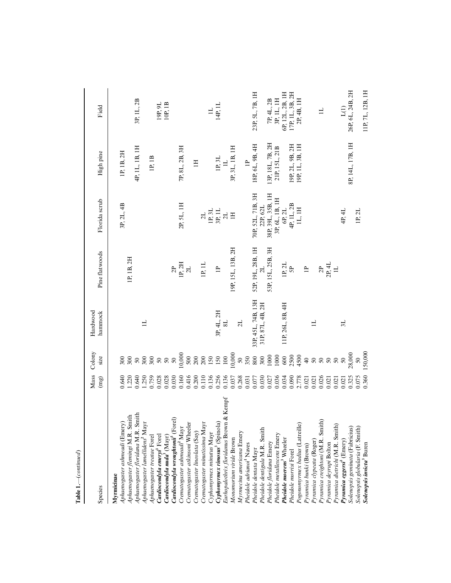| Species                                                | Mass<br>(mg) | Colony<br>size                                  | Hardwood<br>hammock | Pine flatwoods    | Florida scrub     | High pine        | Field            |
|--------------------------------------------------------|--------------|-------------------------------------------------|---------------------|-------------------|-------------------|------------------|------------------|
| Myrmicinae                                             |              |                                                 |                     |                   |                   |                  |                  |
| Aphaenogaster ashmeadi (Emery)                         | 0.640        | 300                                             |                     |                   | 3P, 2L, 4B        | IP, 1B, 2H       |                  |
| Aphaenogaster flemingi M.R. Smith                      | 1.220        | 300                                             |                     | 1P, 1B, 2H        |                   |                  |                  |
| Aphaenogaster floridana M.R. Smith                     | 0.640        |                                                 |                     |                   |                   | 4P, 1L, 1B, 1H   | 3P, 1L, 2B       |
| Aphaenogaster lamellidens <sup>2</sup> Mayr            | 1.250        | $\begin{array}{c} 50 \\ 300 \\ 500 \end{array}$ | $\exists$           |                   |                   |                  |                  |
| Aphaenogaster treatae Forel                            | 0.759        |                                                 |                     |                   |                   | 1P, 1B           |                  |
| Cardiocondyla emeryi <sup>3</sup> Forel                | 0.028        | $50\,$                                          |                     |                   |                   |                  | 19P, 9L          |
| Cardiocondyla nuda <sup>3</sup> (Mayr)                 | 0.028        | $50\,$                                          |                     |                   |                   |                  | 10P, 1B          |
| Cardiocondyla wroughtonii <sup>3</sup> (Forel)         | 0.030        | $50\,$                                          |                     | $\overline{a}$    |                   |                  |                  |
| Crematogaster ashmeadi <sup>2</sup> Mayr               | 0.160        | 10,000                                          |                     | 1P, 2H            | 2P, 5L, 1H        | 7P, 8L, 2B, 3H   |                  |
| Crenatogaster atkinsoni Wheeler                        | 0.416        | 500                                             |                     | 2L                |                   |                  |                  |
| Crenatogaster lineolata (Say)                          | 0.200        |                                                 |                     |                   |                   | $\Xi$            |                  |
| Crematogaster minutissima Mayr                         | 0.110        | $\frac{200}{200}$                               |                     | 1P, 1L            | 2L                |                  |                  |
| Cyphomyrmex minutus Mayr                               | 0.136        | 150                                             |                     |                   | $1P, 3L$          |                  | $\equiv$         |
| Cyphomyrmex rimosus <sup>3</sup> (Spinola)             | 0.256        | 150                                             | 3P, 4L, 2H          | $\triangleq$      | $\frac{3P}{2L}$   | 1P, 3L           | 14P, 1L          |
| $\epsilon$ mpf<br>Eurhopalothrix floridanus Brown & Ko | 0.136        | $100\,$                                         | $\overline{81}$     |                   |                   | $\equiv$         |                  |
| Monomorium viride Brown                                | 0.037        | 10,000                                          |                     | 19P, 15L, 13B, 2H | H                 | 3P, 3L, 1B, 1H   |                  |
| Myrmecina americana Emery                              | 0.268        | $50\,$                                          | 2L                  |                   |                   |                  |                  |
| Pheidole adrianoi <sup>1</sup> Naves                   | 0.031        | 350                                             |                     |                   |                   | $\triangleq$     |                  |
| Pheidole dentata Mayr                                  | 0.077        | $800\,$                                         | 33P, 45L, 74B, 13H  | 52P, 19L, 28B, 1H | 70P, 52L, 71B, 3H | 18P, 6L, 9B, 4H  | 23P, 5L, 7B, 1H  |
| Pheidole dentigula M.R. Smith                          | 0.030        | 300                                             | 31P, 87L, 4B, 2H    |                   | 22P, 62L          |                  |                  |
| Pheidole floridana Emery                               | 0.027        | 1000                                            |                     | 53P, 15L, 25B, 3H | 38P, 39L, 35B, 1H | 13P, 18L, 7B, 2H | 7P, 4L, 2B       |
| Pheidole metallescens Emery                            | 0.036        | 1000                                            |                     |                   | 3P, 6L, 1B, 1H    | 21P, 15L, 21B    | 3P, 1L, 1H       |
| Pheidole moerens <sup>3</sup> Wheeler                  | 0.034        | 600                                             | 11P, 26L, 8B, 4H    | 1P, 2L            | 6P, 2L            |                  | 6P, 12L, 2B, 1H  |
| Pheidole morrisi Forel                                 | 0.090        | 2500                                            |                     | SP.               | 4P, 1L, 2B        | 19P, 2L, 9B, 2H  | 17P, 1L, 3B, 2H  |
| Pogonomyrmex badius (Latreille)                        | 2.778        | 4500                                            |                     |                   | IL, IH            | 19P, 1L, 3B, 1H  | 2P, 4B, 1H       |
| Pyramica bunki (Brown)                                 | 0.021        | $\overline{40}$                                 |                     | $\mathbf{r}$      |                   |                  |                  |
| Pyramica clypeata (Roger)                              | 0.021        | $\sqrt{50}$                                     | $\exists$           |                   |                   |                  |                  |
| Pyramica creightoni (M.R. Smith)                       | 0.026        | $50\,$                                          |                     | $\overline{2}$    |                   |                  | $\exists$        |
| Pyramica deyrupi Bolton                                | 0.021        | $50\,$                                          |                     | 2P, 4L            |                   |                  |                  |
| Pyramica dietrichi (M.R. Smith)                        | 0.021        | 50                                              |                     | $\equiv$          |                   |                  |                  |
| Pyramica eggersi <sup>3</sup> (Emery)                  | 0.021        | $50\,$                                          | 3L                  |                   | 4P, 4L            |                  | $\Xi$            |
| Solenopsis geminata (Fabricius)                        | 0.325        | 28,000                                          |                     |                   |                   | 8P, 14L, 17B, 1H | 26P, 6L, 24B, 2H |
| Solenopsis globularia (F. Smith)                       | 0.075        | 50                                              |                     |                   | 1P, 2L            |                  |                  |
| Solenopsis invicta <sup>3</sup> Buren                  | 0.360        | 150,000                                         |                     |                   |                   |                  | 11P, 7L, 12B, 1H |

| í  |
|----|
|    |
|    |
|    |
|    |
|    |
|    |
|    |
|    |
|    |
|    |
|    |
|    |
|    |
| i. |
|    |
|    |
|    |
|    |
|    |
|    |
|    |
|    |
|    |
|    |
|    |
|    |
|    |
|    |
|    |
|    |
|    |
|    |
|    |
|    |
|    |
|    |
|    |
|    |
|    |
|    |
|    |
|    |
|    |
|    |
|    |
|    |
|    |
|    |
|    |
|    |
|    |
|    |
|    |
|    |
|    |
|    |
|    |
|    |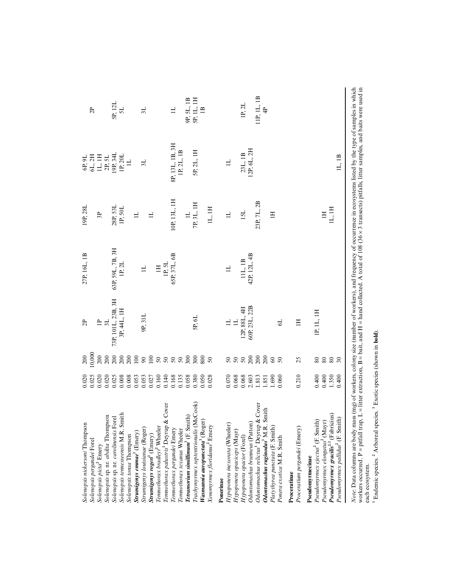| Solenopsis nickersoni Thompson<br>Solenopsis pergandei Forel                                                                                                        | 0.025<br>0.020                                                           | 0,000<br>200                                           | $\overline{c}$     | 27P, 16L, 1B            | 19P, 28L            | 6P, 9L                                                          | 2P            |
|---------------------------------------------------------------------------------------------------------------------------------------------------------------------|--------------------------------------------------------------------------|--------------------------------------------------------|--------------------|-------------------------|---------------------|-----------------------------------------------------------------|---------------|
| Solenopsis picta <sup>2</sup> Emery                                                                                                                                 |                                                                          | 200                                                    | $\triangleq$       |                         | 3P                  | $6L, 2H$ I.H                                                    |               |
| Solenopsis sp. nr. abdita Thompson                                                                                                                                  |                                                                          | 200                                                    | 3L                 |                         |                     |                                                                 |               |
| Solenopsis sp. nr. carolinensis Forel                                                                                                                               | $\begin{array}{c} 0.020 \\ 0.020 \\ 0.025 \\ 0.008 \\ 0.008 \end{array}$ | 200                                                    | 73P, 101L, 23B, 3H | 63P, 59L, 7B, 3H        | 28P, 53L<br>1P, 50L | $\begin{array}{c} \text{2P, 5L} \\ \text{19P, 34L} \end{array}$ | 5P, 12L       |
| Solenopsis tennesseensis M.R. Smith                                                                                                                                 |                                                                          | 200                                                    | 3P, 44L, 1H        | IP. 2L                  |                     | 1P, 20L                                                         | 5L            |
| Solenopsis tonsa Thompson                                                                                                                                           |                                                                          | 200                                                    |                    |                         |                     | $\exists$                                                       |               |
| Strumigenys emmae <sup>3</sup> (Emery)                                                                                                                              | 0.053                                                                    | 100                                                    |                    |                         | $\exists$           |                                                                 |               |
| Strumigenys louisianae (Roger)                                                                                                                                      | 0.053                                                                    | $\mathfrak{g}$                                         | 9P, 31L            | $\exists$               |                     | 3L                                                              | 3L            |
| Strumigenys rogeri <sup>3</sup> (Emery)                                                                                                                             | 0.027                                                                    | $100\,$                                                |                    |                         | $\equiv$            |                                                                 |               |
| Tennothorax bradley? Wheeler                                                                                                                                        | 0.160                                                                    |                                                        |                    | $\Xi$                   |                     |                                                                 |               |
| & Cover<br>Tennothorax palustris <sup>1</sup> Deyrup                                                                                                                | 0.140                                                                    |                                                        |                    | IP, 5L                  |                     |                                                                 |               |
| Tennothorax pergandei Emery                                                                                                                                         | 0.168                                                                    | 5888                                                   |                    | 65P, 37L, 6B            | 10P, 13L, IH        | 8P, 13L, 1B, 3H                                                 | $\exists$     |
| Tennothorax texanus Wheeler                                                                                                                                         | 0.135                                                                    |                                                        |                    |                         |                     | IP, 2L, IB                                                      |               |
| Tetramorium simillimum <sup>3</sup> (F. Smith)                                                                                                                      | 0.058                                                                    | 300                                                    |                    |                         | $\exists$           |                                                                 | 9P, 5L, 1B    |
|                                                                                                                                                                     | 0.380                                                                    | 300                                                    | 5P, 6L             |                         | 7P, 3L, 1H          | 5P, 2L, 1H                                                      | 5P, 1L, 1H    |
| Trachymyrmex septentrionalis (McCook)<br>Wasmannia auropunctata <sup>3</sup> (Roger)                                                                                | 0.050                                                                    | 800                                                    |                    |                         |                     |                                                                 | $\mathbf{1}$  |
| Xenomyrmex floridanus <sup>2</sup> Emery                                                                                                                            | 0.028                                                                    | 50                                                     |                    |                         | IL, 1H              |                                                                 |               |
| Ponerinae                                                                                                                                                           |                                                                          |                                                        |                    |                         |                     |                                                                 |               |
| Hypoponera inexorata (Wheeler                                                                                                                                       | $0.070\,$                                                                |                                                        | $\exists$          | $\exists$               | $\exists$           |                                                                 |               |
| Hypoponera opaciceps (Mayr)                                                                                                                                         | 0.068                                                                    |                                                        | $\Xi$              |                         |                     |                                                                 |               |
| Hypoponera opacior (Forel)                                                                                                                                          | 0.068                                                                    | នននន្ត                                                 | 12P, 88L, 4H       |                         | 15L                 | 23L, 1B                                                         | 1P, 2L        |
| Odontomachus brunneus (Patton)                                                                                                                                      | 2.603                                                                    |                                                        | 60P, 23L, 22B      | 11L, 1B<br>42P, 12L, 4B |                     | 12P, 6L, 2H                                                     |               |
| & Cover<br>Odontomachus relictus <sup>1</sup> Deyrup                                                                                                                | 1.813                                                                    | 200                                                    |                    |                         | 23P, 7L, 2B         |                                                                 | 11P, 1L, 1B   |
|                                                                                                                                                                     |                                                                          |                                                        |                    |                         |                     |                                                                 |               |
| Smith<br>Odontomachus ruginodus <sup>3</sup> M.R.                                                                                                                   | 1.851                                                                    | 200                                                    |                    |                         |                     |                                                                 | $\frac{1}{4}$ |
| Platythyrea punctata (F. Smith)                                                                                                                                     | 1.690                                                                    | $rac{60}{50}$                                          |                    |                         | $\equiv$            |                                                                 |               |
| Ponera exotica M.R. Smith                                                                                                                                           | 0.060                                                                    |                                                        | $\overline{5}$     |                         |                     |                                                                 |               |
| Proceratinae                                                                                                                                                        |                                                                          |                                                        |                    |                         |                     |                                                                 |               |
| Proceratium pergandei (Emery)                                                                                                                                       | 0.210                                                                    | 25                                                     | $\Xi$              |                         |                     |                                                                 |               |
| Pseudomyrmecinae                                                                                                                                                    |                                                                          |                                                        |                    |                         |                     |                                                                 |               |
| Pseudonyrmex ejectus <sup>2</sup> (F. Smith)                                                                                                                        | 0.400                                                                    | 80                                                     | 1P, 1L, 1H         |                         |                     |                                                                 |               |
| Pseudonyrmex elongatus <sup>2</sup> (Mayr)                                                                                                                          | 0.400                                                                    | $\begin{smallmatrix} 8 & 0 \\ 8 & 0 \end{smallmatrix}$ |                    |                         | $\overline{H}$      |                                                                 |               |
| Pseudomyrmex gracilis <sup>2,3</sup> (Fabricius)                                                                                                                    | 1.350                                                                    |                                                        |                    |                         | IL, IH              |                                                                 |               |
| Pseudomyrmex pallidus <sup>2</sup> (F. Smith)                                                                                                                       | 0.400                                                                    | 30                                                     |                    |                         |                     | IL, IB                                                          |               |
|                                                                                                                                                                     |                                                                          |                                                        |                    |                         |                     |                                                                 |               |
| Note: Data columns are body mass (mg) of workers, colony size (number of workers), and frequency of occurrence in ecosystems listed by the type of samples in which |                                                                          |                                                        |                    |                         |                     |                                                                 |               |
|                                                                                                                                                                     |                                                                          |                                                        |                    |                         |                     |                                                                 |               |

*Note*: Data columns are body mass (mg) of workers, colony size (number of workers), and frequency of occurrence in ecosystems listed by the type of samples in which workers occurred. P = pitfall trap, L = litter extraction, B = bait, and H = hand collected. A total of 108 (36 × 3 transects) pitfalls, litter samples, and baits were used in each ecosystem. workers occurred. P = pitfall trap, L = litter extraction, B = bait, and H = hand collected. A total of 108 (36 × 3 transects) pitfalls, litter samples, and baits were used in each ecosystem.<br>each ecosystem.<br><sup>1</sup> Endemic s

Endemic species. **2** Arboreal species. **3** Exotic species (shown in **bold**).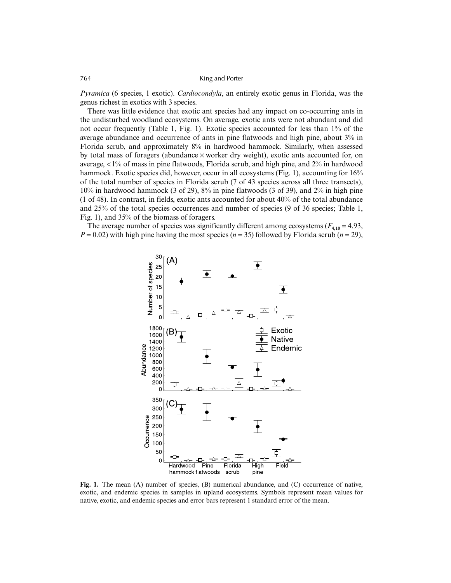*Pyramica* (6 species, 1 exotic). *Cardiocondyla*, an entirely exotic genus in Florida, was the genus richest in exotics with 3 species.

There was little evidence that exotic ant species had any impact on co-occurring ants in the undisturbed woodland ecosystems. On average, exotic ants were not abundant and did not occur frequently (Table 1, Fig. 1). Exotic species accounted for less than 1% of the average abundance and occurrence of ants in pine flatwoods and high pine, about 3% in Florida scrub, and approximately 8% in hardwood hammock. Similarly, when assessed by total mass of foragers (abundance  $\times$  worker dry weight), exotic ants accounted for, on average,  $\langle 1\%$  of mass in pine flatwoods, Florida scrub, and high pine, and  $2\%$  in hardwood hammock. Exotic species did, however, occur in all ecosystems (Fig. 1), accounting for  $16\%$ of the total number of species in Florida scrub (7 of 43 species across all three transects), 10% in hardwood hammock (3 of 29), 8% in pine flatwoods (3 of 39), and 2% in high pine (1 of 48). In contrast, in fields, exotic ants accounted for about 40% of the total abundance and 25% of the total species occurrences and number of species (9 of 36 species; Table 1, Fig. 1), and 35% of the biomass of foragers.

The average number of species was significantly different among ecosystems  $(F_{4,10} = 4.93)$ ,  $P = 0.02$ ) with high pine having the most species ( $n = 35$ ) followed by Florida scrub ( $n = 29$ ),



Fig. 1. The mean (A) number of species, (B) numerical abundance, and (C) occurrence of native, exotic, and endemic species in samples in upland ecosystems. Symbols represent mean values for native, exotic, and endemic species and error bars represent 1 standard error of the mean.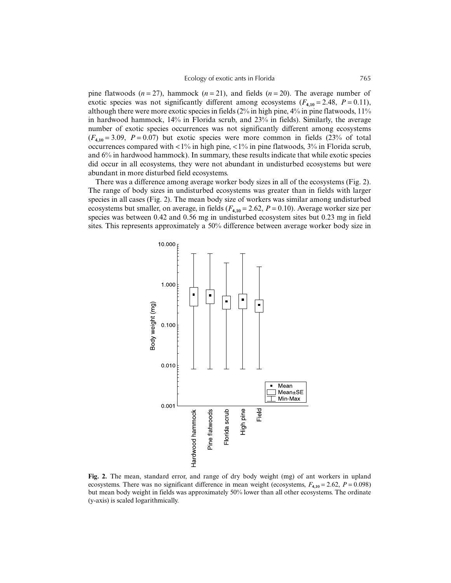pine flatwoods  $(n=27)$ , hammock  $(n=21)$ , and fields  $(n=20)$ . The average number of exotic species was not significantly different among ecosystems  $(F_{4,10} = 2.48, P = 0.11)$ , although there were more exotic species in fields (2% in high pine, 4% in pine flatwoods, 11% in hardwood hammock, 14% in Florida scrub, and 23% in fields). Similarly, the average number of exotic species occurrences was not significantly different among ecosystems  $(F_{4,10} = 3.09, P = 0.07)$  but exotic species were more common in fields  $(23\% \text{ of total})$ occurrences compared with <1% in high pine, <1% in pine flatwoods, 3% in Florida scrub, and 6% in hardwood hammock). In summary, these results indicate that while exotic species did occur in all ecosystems, they were not abundant in undisturbed ecosystems but were abundant in more disturbed field ecosystems.

There was a difference among average worker body sizes in all of the ecosystems (Fig. 2). The range of body sizes in undisturbed ecosystems was greater than in fields with larger species in all cases (Fig. 2). The mean body size of workers was similar among undisturbed ecosystems but smaller, on average, in fields  $(F_{4,10} = 2.62, P = 0.10)$ . Average worker size per species was between 0.42 and 0.56 mg in undisturbed ecosystem sites but 0.23 mg in field sites. This represents approximately a 50% difference between average worker body size in



**Fig. 2.** The mean, standard error, and range of dry body weight (mg) of ant workers in upland ecosystems. There was no significant difference in mean weight (ecosystems,  $F_{4,10} = 2.62$ ,  $P = 0.098$ ) but mean body weight in fields was approximately 50% lower than all other ecosystems. The ordinate (y-axis) is scaled logarithmically.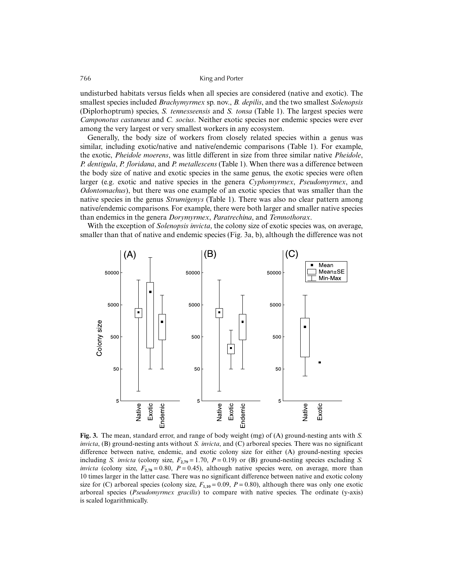undisturbed habitats versus fields when all species are considered (native and exotic). The smallest species included *Brachymyrmex* sp. nov., *B. depilis*, and the two smallest *Solenopsis* (Diplorhoptrum) species, *S. tennesseensis* and *S. tonsa* (Table 1). The largest species were *Camponotus castaneus* and *C. socius*. Neither exotic species nor endemic species were ever among the very largest or very smallest workers in any ecosystem.

Generally, the body size of workers from closely related species within a genus was similar, including exotic/native and native/endemic comparisons (Table 1). For example, the exotic, *Pheidole moerens*, was little different in size from three similar native *Pheidole*, *P. dentigula*, *P. floridana*, and *P. metallescens* (Table 1). When there was a difference between the body size of native and exotic species in the same genus, the exotic species were often larger (e.g. exotic and native species in the genera *Cyphomyrmex*, *Pseudomyrmex*, and *Odontomachus*), but there was one example of an exotic species that was smaller than the native species in the genus *Strumigenys* (Table 1). There was also no clear pattern among native/endemic comparisons. For example, there were both larger and smaller native species than endemics in the genera *Dorymyrmex*, *Paratrechina*, and *Temnothorax*.

With the exception of *Solenopsis invicta*, the colony size of exotic species was, on average, smaller than that of native and endemic species (Fig. 3a, b), although the difference was not



**Fig. 3.** The mean, standard error, and range of body weight (mg) of (A) ground-nesting ants with *S. invicta*, (B) ground-nesting ants without *S. invicta*, and (C) arboreal species. There was no significant difference between native, endemic, and exotic colony size for either (A) ground-nesting species including *S. invicta* (colony size,  $F_{2,79} = 1.70$ ,  $P = 0.19$ ) or (B) ground-nesting species excluding *S. invicta* (colony size,  $F_{2,78} = 0.80$ ,  $P = 0.45$ ), although native species were, on average, more than 10 times larger in the latter case. There was no significant difference between native and exotic colony size for (C) arboreal species (colony size,  $F_{1,10} = 0.09$ ,  $P = 0.80$ ), although there was only one exotic arboreal species (*Pseudomyrmex gracilis*) to compare with native species. The ordinate (y-axis) is scaled logarithmically.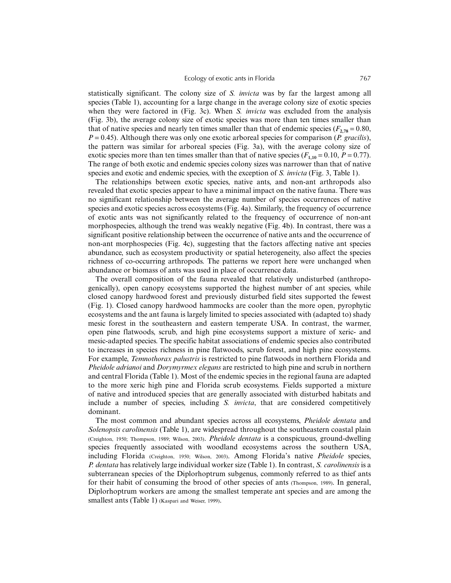statistically significant. The colony size of *S. invicta* was by far the largest among all species (Table 1), accounting for a large change in the average colony size of exotic species when they were factored in (Fig. 3c). When *S. invicta* was excluded from the analysis (Fig. 3b), the average colony size of exotic species was more than ten times smaller than that of native species and nearly ten times smaller than that of endemic species ( $F_{2.78} = 0.80$ ,  $P = 0.45$ ). Although there was only one exotic arboreal species for comparison (*P. gracilis*), the pattern was similar for arboreal species (Fig. 3a), with the average colony size of exotic species more than ten times smaller than that of native species ( $F_{1,10} = 0.10$ ,  $P = 0.77$ ). The range of both exotic and endemic species colony sizes was narrower than that of native species and exotic and endemic species, with the exception of *S. invicta* (Fig. 3, Table 1).

The relationships between exotic species, native ants, and non-ant arthropods also revealed that exotic species appear to have a minimal impact on the native fauna. There was no significant relationship between the average number of species occurrences of native species and exotic species across ecosystems (Fig. 4a). Similarly, the frequency of occurrence of exotic ants was not significantly related to the frequency of occurrence of non-ant morphospecies, although the trend was weakly negative (Fig. 4b). In contrast, there was a significant positive relationship between the occurrence of native ants and the occurrence of non-ant morphospecies (Fig. 4c), suggesting that the factors affecting native ant species abundance, such as ecosystem productivity or spatial heterogeneity, also affect the species richness of co-occurring arthropods. The patterns we report here were unchanged when abundance or biomass of ants was used in place of occurrence data.

The overall composition of the fauna revealed that relatively undisturbed (anthropogenically), open canopy ecosystems supported the highest number of ant species, while closed canopy hardwood forest and previously disturbed field sites supported the fewest (Fig. 1). Closed canopy hardwood hammocks are cooler than the more open, pyrophytic ecosystems and the ant fauna is largely limited to species associated with (adapted to) shady mesic forest in the southeastern and eastern temperate USA. In contrast, the warmer, open pine flatwoods, scrub, and high pine ecosystems support a mixture of xeric- and mesic-adapted species. The specific habitat associations of endemic species also contributed to increases in species richness in pine flatwoods, scrub forest, and high pine ecosystems. For example, *Temnothorax palustris* is restricted to pine flatwoods in northern Florida and *Pheidole adrianoi* and *Dorymyrmex elegans* are restricted to high pine and scrub in northern and central Florida (Table 1). Most of the endemic species in the regional fauna are adapted to the more xeric high pine and Florida scrub ecosystems. Fields supported a mixture of native and introduced species that are generally associated with disturbed habitats and include a number of species, including *S. invicta*, that are considered competitively dominant.

The most common and abundant species across all ecosystems, *Pheidole dentata* and *Solenopsis carolinensis* (Table 1), are widespread throughout the southeastern coastal plain (Creighton, 1950; Thompson, 1989; Wilson, 2003). *Pheidole dentata* is a conspicuous, ground-dwelling species frequently associated with woodland ecosystems across the southern USA, including Florida (Creighton, 1950; Wilson, 2003). Among Florida's native *Pheidole* species, *P. dentata* has relatively large individual worker size (Table 1). In contrast, *S. carolinensis* is a subterranean species of the Diplorhoptrum subgenus, commonly referred to as thief ants for their habit of consuming the brood of other species of ants (Thompson, 1989). In general, Diplorhoptrum workers are among the smallest temperate ant species and are among the smallest ants (Table 1) (Kaspari and Weiser, 1999).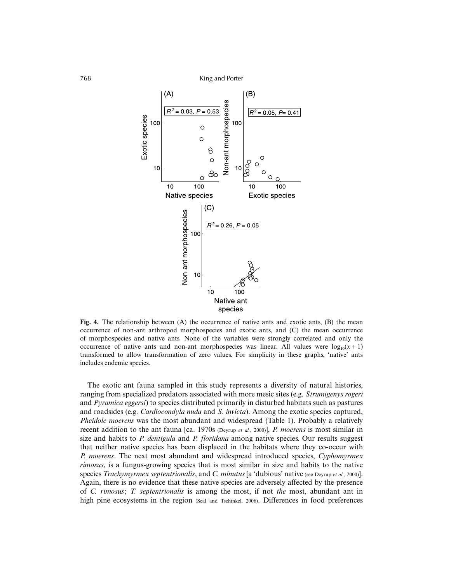

Fig. 4. The relationship between (A) the occurrence of native ants and exotic ants, (B) the mean occurrence of non-ant arthropod morphospecies and exotic ants, and (C) the mean occurrence of morphospecies and native ants. None of the variables were strongly correlated and only the occurrence of native ants and non-ant morphospecies was linear. All values were  $log_{10}(x+1)$ transformed to allow transformation of zero values. For simplicity in these graphs, 'native' ants includes endemic species.

The exotic ant fauna sampled in this study represents a diversity of natural histories, ranging from specialized predators associated with more mesic sites (e.g. *Strumigenys rogeri* and *Pyramica eggersi*) to species distributed primarily in disturbed habitats such as pastures and roadsides (e.g. *Cardiocondyla nuda* and *S. invicta*). Among the exotic species captured, *Pheidole moerens* was the most abundant and widespread (Table 1). Probably a relatively recent addition to the ant fauna [ca. 1970s (Deyrup *et al.*, 2000)], *P. moerens* is most similar in size and habits to *P. dentigula* and *P. floridana* among native species. Our results suggest that neither native species has been displaced in the habitats where they co-occur with *P. moerens*. The next most abundant and widespread introduced species, *Cyphomyrmex rimosus*, is a fungus-growing species that is most similar in size and habits to the native species *Trachymyrmex septentrionalis*, and *C. minutus* [a 'dubious' native (see Deyrup *et al.*, 2000)]. Again, there is no evidence that these native species are adversely affected by the presence of *C. rimosus*; *T. septentrionalis* is among the most, if not *the* most, abundant ant in high pine ecosystems in the region (Seal and Tschinkel, 2006). Differences in food preferences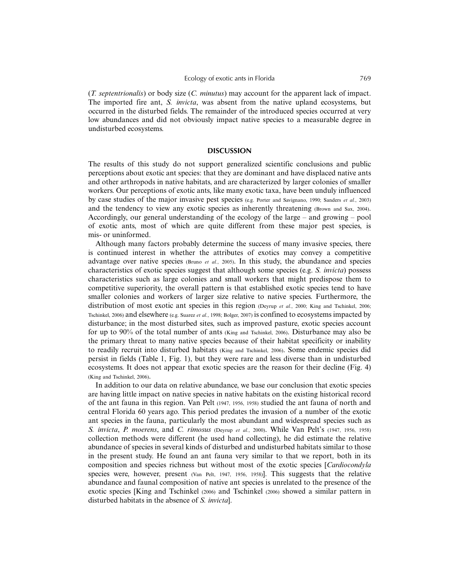(*T. septentrionalis*) or body size (*C. minutus*) may account for the apparent lack of impact. The imported fire ant, *S. invicta*, was absent from the native upland ecosystems, but occurred in the disturbed fields. The remainder of the introduced species occurred at very low abundances and did not obviously impact native species to a measurable degree in undisturbed ecosystems.

### **DISCUSSION**

The results of this study do not support generalized scientific conclusions and public perceptions about exotic ant species: that they are dominant and have displaced native ants and other arthropods in native habitats, and are characterized by larger colonies of smaller workers. Our perceptions of exotic ants, like many exotic taxa, have been unduly influenced by case studies of the major invasive pest species (e.g. Porter and Savignano, 1990; Sanders *et al.*, 2003) and the tendency to view any exotic species as inherently threatening (Brown and Sax, 2004). Accordingly, our general understanding of the ecology of the large – and growing – pool of exotic ants, most of which are quite different from these major pest species, is mis- or uninformed.

Although many factors probably determine the success of many invasive species, there is continued interest in whether the attributes of exotics may convey a competitive advantage over native species (Bruno *et al.*, 2005). In this study, the abundance and species characteristics of exotic species suggest that although some species (e.g. *S. invicta*) possess characteristics such as large colonies and small workers that might predispose them to competitive superiority, the overall pattern is that established exotic species tend to have smaller colonies and workers of larger size relative to native species. Furthermore, the distribution of most exotic ant species in this region (Deyrup *et al.*, 2000; King and Tschinkel, 2006; Tschinkel, 2006) and elsewhere (e.g. Suarez *et al.*, 1998; Bolger, 2007) is confined to ecosystems impacted by disturbance; in the most disturbed sites, such as improved pasture, exotic species account for up to 90% of the total number of ants (King and Tschinkel, 2006). Disturbance may also be the primary threat to many native species because of their habitat specificity or inability to readily recruit into disturbed habitats (King and Tschinkel, 2006). Some endemic species did persist in fields (Table 1, Fig. 1), but they were rare and less diverse than in undisturbed ecosystems. It does not appear that exotic species are the reason for their decline (Fig. 4) (King and Tschinkel, 2006).

In addition to our data on relative abundance, we base our conclusion that exotic species are having little impact on native species in native habitats on the existing historical record of the ant fauna in this region. Van Pelt (1947, 1956, 1958) studied the ant fauna of north and central Florida 60 years ago. This period predates the invasion of a number of the exotic ant species in the fauna, particularly the most abundant and widespread species such as *S. invicta*, *P. moerens*, and *C. rimosus* (Deyrup *et al.*, 2000). While Van Pelt's (1947, 1956, 1958) collection methods were different (he used hand collecting), he did estimate the relative abundance of species in several kinds of disturbed and undisturbed habitats similar to those in the present study. He found an ant fauna very similar to that we report, both in its composition and species richness but without most of the exotic species [*Cardiocondyla* species were, however, present (Van Pelt, 1947, 1956, 1958)]. This suggests that the relative abundance and faunal composition of native ant species is unrelated to the presence of the exotic species [King and Tschinkel (2006) and Tschinkel (2006) showed a similar pattern in disturbed habitats in the absence of *S. invicta*].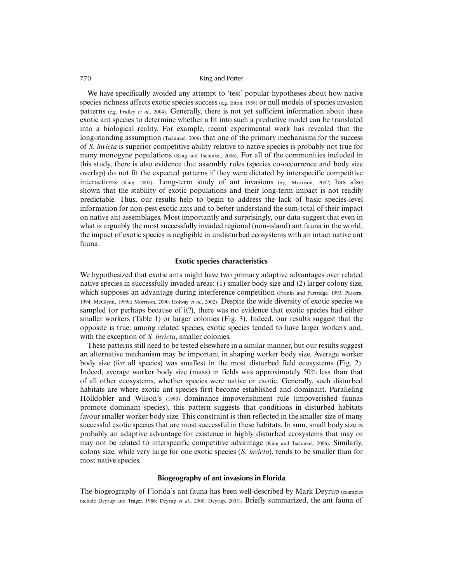We have specifically avoided any attempt to 'test' popular hypotheses about how native species richness affects exotic species success (e.g. Elton, 1958) or null models of species invasion patterns (e.g. Fridley *et al.*, 2004). Generally, there is not yet sufficient information about these exotic ant species to determine whether a fit into such a predictive model can be translated into a biological reality. For example, recent experimental work has revealed that the long-standing assumption (Tschinkel, 2006) that one of the primary mechanisms for the success of *S. invicta* is superior competitive ability relative to native species is probably not true for many monogyne populations (King and Tschinkel, 2006). For all of the communities included in this study, there is also evidence that assembly rules (species co-occurrence and body size overlap) do not fit the expected patterns if they were dictated by interspecific competitive interactions (King, 2007). Long-term study of ant invasions (e.g. Morrison, 2002) has also shown that the stability of exotic populations and their long-term impact is not readily predictable. Thus, our results help to begin to address the lack of basic species-level information for non-pest exotic ants and to better understand the sum-total of their impact on native ant assemblages. Most importantly and surprisingly, our data suggest that even in what is arguably the most successfully invaded regional (non-island) ant fauna in the world, the impact of exotic species is negligible in undisturbed ecosystems with an intact native ant fauna.

## **Exotic species characteristics**

We hypothesized that exotic ants might have two primary adaptive advantages over related native species in successfully invaded areas: (1) smaller body size and (2) larger colony size, which supposes an advantage during interference competition (Franks and Partridge, 1993; Passera, 1994; McGlynn, 1999a; Morrison, 2000; Holway *et al.*, 2002). Despite the wide diversity of exotic species we sampled (or perhaps because of it?), there was no evidence that exotic species had either smaller workers (Table 1) or larger colonies (Fig. 3). Indeed, our results suggest that the opposite is true: among related species, exotic species tended to have larger workers and, with the exception of *S. invicta*, smaller colonies.

These patterns still need to be tested elsewhere in a similar manner, but our results suggest an alternative mechanism may be important in shaping worker body size. Average worker body size (for all species) was smallest in the most disturbed field ecosystems (Fig. 2). Indeed, average worker body size (mass) in fields was approximately 50% less than that of all other ecosystems, whether species were native or exotic. Generally, such disturbed habitats are where exotic ant species first become established and dominant. Paralleling Hölldobler and Wilson's (1990) dominance–impoverishment rule (impoverished faunas promote dominant species), this pattern suggests that conditions in disturbed habitats favour smaller worker body size. This constraint is then reflected in the smaller size of many successful exotic species that are most successful in these habitats. In sum, small body size is probably an adaptive advantage for existence in highly disturbed ecosystems that may or may not be related to interspecific competitive advantage (King and Tschinkel, 2006). Similarly, colony size, while very large for one exotic species (*S. invicta*), tends to be smaller than for most native species.

## **Biogeography of ant invasions in Florida**

The biogeography of Florida's ant fauna has been well-described by Mark Deyrup (examples include Deyrup and Trager, 1986; Deyrup *et al.*, 2000; Deyrup, 2003). Briefly summarized, the ant fauna of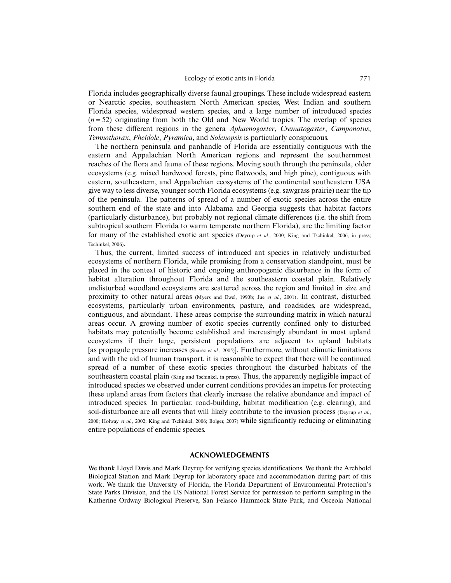Florida includes geographically diverse faunal groupings. These include widespread eastern or Nearctic species, southeastern North American species, West Indian and southern Florida species, widespread western species, and a large number of introduced species  $(n = 52)$  originating from both the Old and New World tropics. The overlap of species from these different regions in the genera *Aphaenogaster*, *Crematogaster*, *Camponotus*, *Temnothorax*, *Pheidole*, *Pyramica*, and *Solenopsis* is particularly conspicuous.

The northern peninsula and panhandle of Florida are essentially contiguous with the eastern and Appalachian North American regions and represent the southernmost reaches of the flora and fauna of these regions. Moving south through the peninsula, older ecosystems (e.g. mixed hardwood forests, pine flatwoods, and high pine), contiguous with eastern, southeastern, and Appalachian ecosystems of the continental southeastern USA give way to less diverse, younger south Florida ecosystems (e.g. sawgrass prairie) near the tip of the peninsula. The patterns of spread of a number of exotic species across the entire southern end of the state and into Alabama and Georgia suggests that habitat factors (particularly disturbance), but probably not regional climate differences (i.e. the shift from subtropical southern Florida to warm temperate northern Florida), are the limiting factor for many of the established exotic ant species (Deyrup *et al.*, 2000; King and Tschinkel, 2006, in press; Tschinkel, 2006).

Thus, the current, limited success of introduced ant species in relatively undisturbed ecosystems of northern Florida, while promising from a conservation standpoint, must be placed in the context of historic and ongoing anthropogenic disturbance in the form of habitat alteration throughout Florida and the southeastern coastal plain. Relatively undisturbed woodland ecosystems are scattered across the region and limited in size and proximity to other natural areas (Myers and Ewel, 1990b; Jue *et al.*, 2001). In contrast, disturbed ecosystems, particularly urban environments, pasture, and roadsides, are widespread, contiguous, and abundant. These areas comprise the surrounding matrix in which natural areas occur. A growing number of exotic species currently confined only to disturbed habitats may potentially become established and increasingly abundant in most upland ecosystems if their large, persistent populations are adjacent to upland habitats [as propagule pressure increases (Suarez *et al.*, 2005)]. Furthermore, without climatic limitations and with the aid of human transport, it is reasonable to expect that there will be continued spread of a number of these exotic species throughout the disturbed habitats of the southeastern coastal plain (King and Tschinkel, in press). Thus, the apparently negligible impact of introduced species we observed under current conditions provides an impetus for protecting these upland areas from factors that clearly increase the relative abundance and impact of introduced species. In particular, road-building, habitat modification (e.g. clearing), and soil-disturbance are all events that will likely contribute to the invasion process (Deyrup *et al.*, 2000; Holway *et al.*, 2002; King and Tschinkel, 2006; Bolger, 2007) while significantly reducing or eliminating entire populations of endemic species.

## **ACKNOWLEDGEMENTS**

We thank Lloyd Davis and Mark Deyrup for verifying species identifications. We thank the Archbold Biological Station and Mark Deyrup for laboratory space and accommodation during part of this work. We thank the University of Florida, the Florida Department of Environmental Protection's State Parks Division, and the US National Forest Service for permission to perform sampling in the Katherine Ordway Biological Preserve, San Felasco Hammock State Park, and Osceola National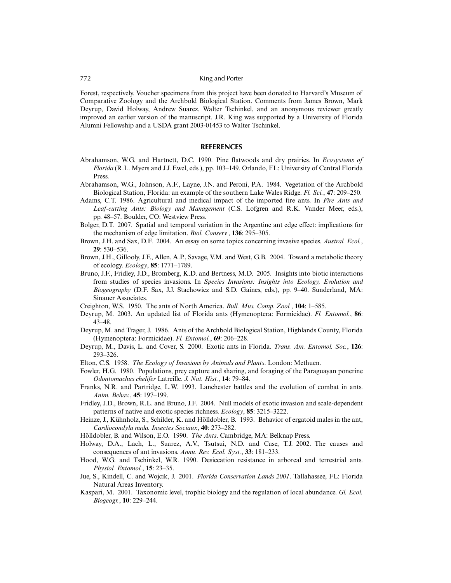Forest, respectively. Voucher specimens from this project have been donated to Harvard's Museum of Comparative Zoology and the Archbold Biological Station. Comments from James Brown, Mark Deyrup, David Holway, Andrew Suarez, Walter Tschinkel, and an anonymous reviewer greatly improved an earlier version of the manuscript. J.R. King was supported by a University of Florida Alumni Fellowship and a USDA grant 2003-01453 to Walter Tschinkel.

#### **REFERENCES**

- Abrahamson, W.G. and Hartnett, D.C. 1990. Pine flatwoods and dry prairies. In *Ecosystems of Florida* (R.L. Myers and J.J. Ewel, eds.), pp. 103–149. Orlando, FL: University of Central Florida Press.
- Abrahamson, W.G., Johnson, A.F., Layne, J.N. and Peroni, P.A. 1984. Vegetation of the Archbold Biological Station, Florida: an example of the southern Lake Wales Ridge. *Fl. Sci.*, **47**: 209–250.
- Adams, C.T. 1986. Agricultural and medical impact of the imported fire ants. In *Fire Ants and Leaf-cutting Ants: Biology and Management* (C.S. Lofgren and R.K. Vander Meer, eds.), pp. 48–57. Boulder, CO: Westview Press.
- Bolger, D.T. 2007. Spatial and temporal variation in the Argentine ant edge effect: implications for the mechanism of edge limitation. *Biol. Conserv.*, **136**: 295–305.
- Brown, J.H. and Sax, D.F. 2004. An essay on some topics concerning invasive species. *Austral. Ecol.*, **29**: 530–536.
- Brown, J.H., Gillooly, J.F., Allen, A.P., Savage, V.M. and West, G.B. 2004. Toward a metabolic theory of ecology. *Ecology*, **85**: 1771–1789.
- Bruno, J.F., Fridley, J.D., Bromberg, K.D. and Bertness, M.D. 2005. Insights into biotic interactions from studies of species invasions. In *Species Invasions: Insights into Ecology, Evolution and Biogeography* (D.F. Sax, J.J. Stachowicz and S.D. Gaines, eds.), pp. 9–40. Sunderland, MA: Sinauer Associates.
- Creighton, W.S. 1950. The ants of North America. *Bull. Mus. Comp. Zool.*, **104**: 1–585.
- Deyrup, M. 2003. An updated list of Florida ants (Hymenoptera: Formicidae). *Fl. Entomol.*, **86**: 43–48.
- Deyrup, M. and Trager, J. 1986. Ants of the Archbold Biological Station, Highlands County, Florida (Hymenoptera: Formicidae). *Fl. Entomol.*, **69**: 206–228.
- Deyrup, M., Davis, L. and Cover, S. 2000. Exotic ants in Florida. *Trans. Am. Entomol. Soc.*, **126**: 293–326.
- Elton, C.S. 1958. *The Ecology of Invasions by Animals and Plants*. London: Methuen.
- Fowler, H.G. 1980. Populations, prey capture and sharing, and foraging of the Paraguayan ponerine *Odontomachus chelifer* Latreille*. J. Nat. Hist.*, **14**: 79–84.
- Franks, N.R. and Partridge, L.W. 1993. Lanchester battles and the evolution of combat in ants. *Anim. Behav.*, **45**: 197–199.
- Fridley, J.D., Brown, R.L. and Bruno, J.F. 2004. Null models of exotic invasion and scale-dependent patterns of native and exotic species richness. *Ecology*, **85**: 3215–3222.
- Heinze, J., Kühnholz, S., Schilder, K. and Hölldobler, B. 1993. Behavior of ergatoid males in the ant, *Cardiocondyla nuda. Insectes Sociaux*, **40**: 273–282.
- Hölldobler, B. and Wilson, E.O. 1990. *The Ants*. Cambridge, MA: Belknap Press.
- Holway, D.A., Lach, L., Suarez, A.V., Tsutsui, N.D. and Case, T.J. 2002. The causes and consequences of ant invasions. *Annu. Rev. Ecol. Syst.*, **33**: 181–233.
- Hood, W.G. and Tschinkel, W.R. 1990. Desiccation resistance in arboreal and terrestrial ants. *Physiol. Entomol.*, **15**: 23–35.
- Jue, S., Kindell, C. and Wojcik, J. 2001. *Florida Conservation Lands 2001*. Tallahassee, FL: Florida Natural Areas Inventory.
- Kaspari, M. 2001. Taxonomic level, trophic biology and the regulation of local abundance. *Gl. Ecol. Biogeogr.*, **10**: 229–244.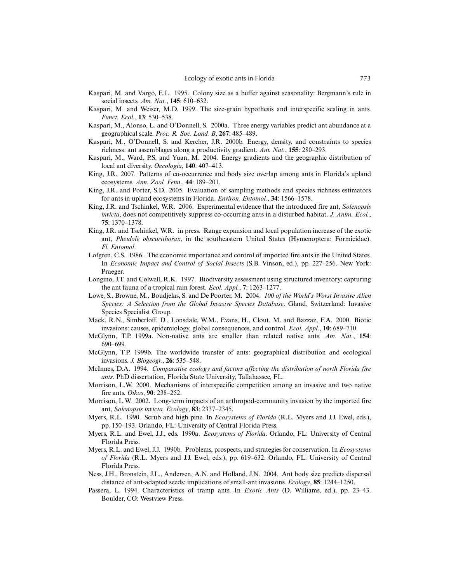- Kaspari, M. and Vargo, E.L. 1995. Colony size as a buffer against seasonality: Bergmann's rule in social insects. *Am. Nat.*, **145**: 610–632.
- Kaspari, M. and Weiser, M.D. 1999. The size-grain hypothesis and interspecific scaling in ants. *Funct. Ecol.*, **13**: 530–538.
- Kaspari, M., Alonso, L. and O'Donnell, S. 2000a. Three energy variables predict ant abundance at a geographical scale. *Proc. R. Soc. Lond. B*, **267**: 485–489.
- Kaspari, M., O'Donnell, S. and Kercher, J.R. 2000b. Energy, density, and constraints to species richness: ant assemblages along a productivity gradient. *Am. Nat.*, **155**: 280–293.
- Kaspari, M., Ward, P.S. and Yuan, M. 2004. Energy gradients and the geographic distribution of local ant diversity. *Oecologia*, **140**: 407–413.
- King, J.R. 2007. Patterns of co-occurrence and body size overlap among ants in Florida's upland ecosystems. *Ann. Zool. Fenn*., **44**: 189–201.
- King, J.R. and Porter, S.D. 2005. Evaluation of sampling methods and species richness estimators for ants in upland ecosystems in Florida. *Environ. Entomol.*, **34**: 1566–1578.
- King, J.R. and Tschinkel, W.R. 2006. Experimental evidence that the introduced fire ant, *Solenopsis invicta*, does not competitively suppress co-occurring ants in a disturbed habitat. *J. Anim. Ecol.*, **75**: 1370–1378.
- King, J.R. and Tschinkel, W.R. in press. Range expansion and local population increase of the exotic ant, *Pheidole obscurithorax*, in the southeastern United States (Hymenoptera: Formicidae). *Fl. Entomol*.
- Lofgren, C.S. 1986. The economic importance and control of imported fire ants in the United States. In *Economic Impact and Control of Social Insects* (S.B. Vinson, ed.), pp. 227–256. New York: Praeger.
- Longino, J.T. and Colwell, R.K. 1997. Biodiversity assessment using structured inventory: capturing the ant fauna of a tropical rain forest. *Ecol. Appl.*, **7**: 1263–1277.
- Lowe, S., Browne, M., Boudjelas, S. and De Poorter, M. 2004. *100 of the World's Worst Invasive Alien Species: A Selection from the Global Invasive Species Database*. Gland, Switzerland: Invasive Species Specialist Group.
- Mack, R.N., Simberloff, D., Lonsdale, W.M., Evans, H., Clout, M. and Bazzaz, F.A. 2000. Biotic invasions: causes, epidemiology, global consequences, and control. *Ecol. Appl.*, **10**: 689–710.
- McGlynn, T.P. 1999a. Non-native ants are smaller than related native ants. *Am. Nat.*, **154**: 690–699.
- McGlynn, T.P. 1999b. The worldwide transfer of ants: geographical distribution and ecological invasions. *J. Biogeogr.*, **26**: 535–548.
- McInnes, D.A. 1994. *Comparative ecology and factors affecting the distribution of north Florida fire ants*. PhD dissertation, Florida State University, Tallahassee, FL.
- Morrison, L.W. 2000. Mechanisms of interspecific competition among an invasive and two native fire ants. *Oikos*, **90**: 238–252.
- Morrison, L.W. 2002. Long-term impacts of an arthropod-community invasion by the imported fire ant, *Solenopsis invicta. Ecology*, **83**: 2337–2345.
- Myers, R.L. 1990. Scrub and high pine. In *Ecosystems of Florida* (R.L. Myers and J.J. Ewel, eds.), pp. 150–193. Orlando, FL: University of Central Florida Press.
- Myers, R.L. and Ewel, J.J., eds. 1990a. *Ecosystems of Florida*. Orlando, FL: University of Central Florida Press.
- Myers, R.L. and Ewel, J.J. 1990b. Problems, prospects, and strategies for conservation. In *Ecosystems of Florida* (R.L. Myers and J.J. Ewel, eds.), pp. 619–632. Orlando, FL: University of Central Florida Press.
- Ness, J.H., Bronstein, J.L., Andersen, A.N. and Holland, J.N. 2004. Ant body size predicts dispersal distance of ant-adapted seeds: implications of small-ant invasions. *Ecology*, **85**: 1244–1250.
- Passera, L. 1994. Characteristics of tramp ants. In *Exotic Ants* (D. Williams, ed.), pp. 23–43. Boulder, CO: Westview Press.